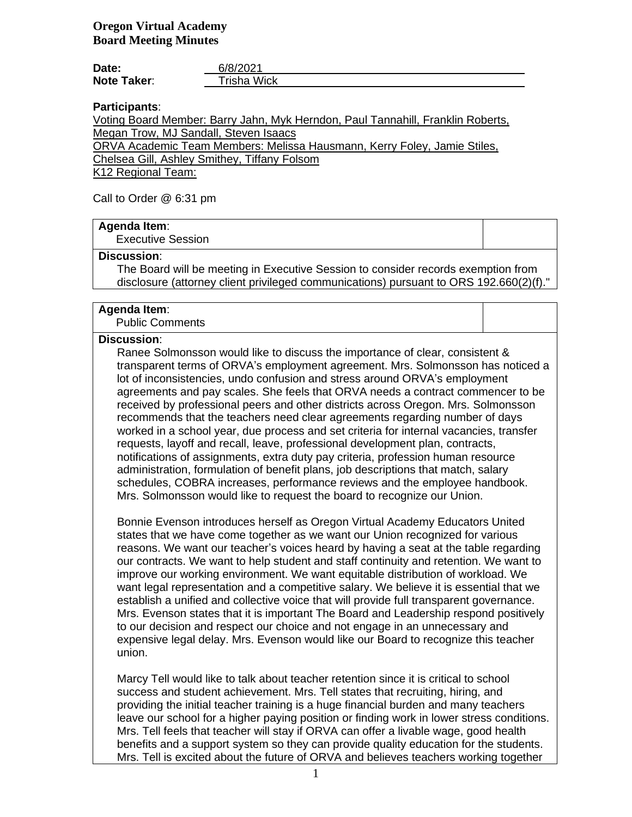| Date:              | 6/8/2021    |
|--------------------|-------------|
| <b>Note Taker:</b> | Trisha Wick |

**Participants**:

Voting Board Member: Barry Jahn, Myk Herndon, Paul Tannahill, Franklin Roberts, Megan Trow, MJ Sandall, Steven Isaacs

ORVA Academic Team Members: Melissa Hausmann, Kerry Foley, Jamie Stiles,

Chelsea Gill, Ashley Smithey, Tiffany Folsom

K12 Regional Team:

Call to Order @ 6:31 pm

## **Agenda Item**:

Executive Session

#### **Discussion**:

The Board will be meeting in Executive Session to consider records exemption from disclosure (attorney client privileged communications) pursuant to ORS 192.660(2)(f)."

### **Agenda Item**:

Public Comments

#### **Discussion**:

Ranee Solmonsson would like to discuss the importance of clear, consistent & transparent terms of ORVA's employment agreement. Mrs. Solmonsson has noticed a lot of inconsistencies, undo confusion and stress around ORVA's employment agreements and pay scales. She feels that ORVA needs a contract commencer to be received by professional peers and other districts across Oregon. Mrs. Solmonsson recommends that the teachers need clear agreements regarding number of days worked in a school year, due process and set criteria for internal vacancies, transfer requests, layoff and recall, leave, professional development plan, contracts, notifications of assignments, extra duty pay criteria, profession human resource administration, formulation of benefit plans, job descriptions that match, salary schedules, COBRA increases, performance reviews and the employee handbook. Mrs. Solmonsson would like to request the board to recognize our Union.

Bonnie Evenson introduces herself as Oregon Virtual Academy Educators United states that we have come together as we want our Union recognized for various reasons. We want our teacher's voices heard by having a seat at the table regarding our contracts. We want to help student and staff continuity and retention. We want to improve our working environment. We want equitable distribution of workload. We want legal representation and a competitive salary. We believe it is essential that we establish a unified and collective voice that will provide full transparent governance. Mrs. Evenson states that it is important The Board and Leadership respond positively to our decision and respect our choice and not engage in an unnecessary and expensive legal delay. Mrs. Evenson would like our Board to recognize this teacher union.

Marcy Tell would like to talk about teacher retention since it is critical to school success and student achievement. Mrs. Tell states that recruiting, hiring, and providing the initial teacher training is a huge financial burden and many teachers leave our school for a higher paying position or finding work in lower stress conditions. Mrs. Tell feels that teacher will stay if ORVA can offer a livable wage, good health benefits and a support system so they can provide quality education for the students. Mrs. Tell is excited about the future of ORVA and believes teachers working together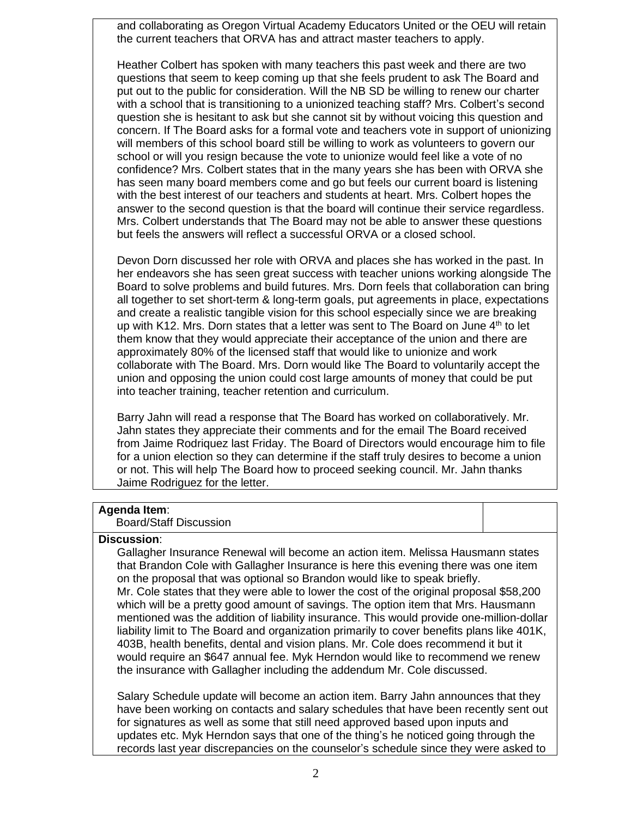and collaborating as Oregon Virtual Academy Educators United or the OEU will retain the current teachers that ORVA has and attract master teachers to apply.

Heather Colbert has spoken with many teachers this past week and there are two questions that seem to keep coming up that she feels prudent to ask The Board and put out to the public for consideration. Will the NB SD be willing to renew our charter with a school that is transitioning to a unionized teaching staff? Mrs. Colbert's second question she is hesitant to ask but she cannot sit by without voicing this question and concern. If The Board asks for a formal vote and teachers vote in support of unionizing will members of this school board still be willing to work as volunteers to govern our school or will you resign because the vote to unionize would feel like a vote of no confidence? Mrs. Colbert states that in the many years she has been with ORVA she has seen many board members come and go but feels our current board is listening with the best interest of our teachers and students at heart. Mrs. Colbert hopes the answer to the second question is that the board will continue their service regardless. Mrs. Colbert understands that The Board may not be able to answer these questions but feels the answers will reflect a successful ORVA or a closed school.

Devon Dorn discussed her role with ORVA and places she has worked in the past. In her endeavors she has seen great success with teacher unions working alongside The Board to solve problems and build futures. Mrs. Dorn feels that collaboration can bring all together to set short-term & long-term goals, put agreements in place, expectations and create a realistic tangible vision for this school especially since we are breaking up with K12. Mrs. Dorn states that a letter was sent to The Board on June  $4<sup>th</sup>$  to let them know that they would appreciate their acceptance of the union and there are approximately 80% of the licensed staff that would like to unionize and work collaborate with The Board. Mrs. Dorn would like The Board to voluntarily accept the union and opposing the union could cost large amounts of money that could be put into teacher training, teacher retention and curriculum.

Barry Jahn will read a response that The Board has worked on collaboratively. Mr. Jahn states they appreciate their comments and for the email The Board received from Jaime Rodriquez last Friday. The Board of Directors would encourage him to file for a union election so they can determine if the staff truly desires to become a union or not. This will help The Board how to proceed seeking council. Mr. Jahn thanks Jaime Rodriguez for the letter.

## **Agenda Item**:

#### Board/Staff Discussion

# **Discussion**:

Gallagher Insurance Renewal will become an action item. Melissa Hausmann states that Brandon Cole with Gallagher Insurance is here this evening there was one item on the proposal that was optional so Brandon would like to speak briefly. Mr. Cole states that they were able to lower the cost of the original proposal \$58,200 which will be a pretty good amount of savings. The option item that Mrs. Hausmann mentioned was the addition of liability insurance. This would provide one-million-dollar liability limit to The Board and organization primarily to cover benefits plans like 401K, 403B, health benefits, dental and vision plans. Mr. Cole does recommend it but it would require an \$647 annual fee. Myk Herndon would like to recommend we renew the insurance with Gallagher including the addendum Mr. Cole discussed.

Salary Schedule update will become an action item. Barry Jahn announces that they have been working on contacts and salary schedules that have been recently sent out for signatures as well as some that still need approved based upon inputs and updates etc. Myk Herndon says that one of the thing's he noticed going through the records last year discrepancies on the counselor's schedule since they were asked to